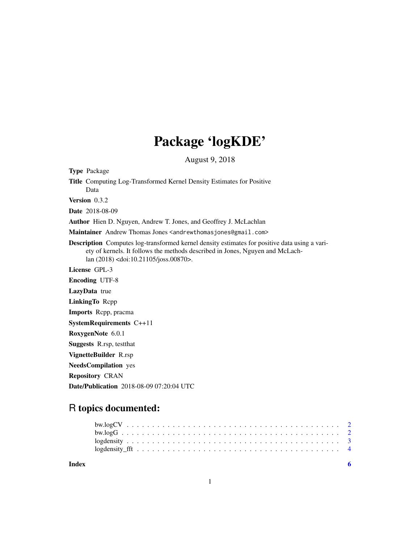## Package 'logKDE'

August 9, 2018

<span id="page-0-0"></span>Type Package

Title Computing Log-Transformed Kernel Density Estimates for Positive Data

Version 0.3.2

Date 2018-08-09

Author Hien D. Nguyen, Andrew T. Jones, and Geoffrey J. McLachlan

Maintainer Andrew Thomas Jones <andrewthomasjones@gmail.com>

Description Computes log-transformed kernel density estimates for positive data using a variety of kernels. It follows the methods described in Jones, Nguyen and McLachlan (2018) <doi:10.21105/joss.00870>.

License GPL-3

Encoding UTF-8

LazyData true

LinkingTo Rcpp

Imports Rcpp, pracma

SystemRequirements C++11

RoxygenNote 6.0.1

Suggests R.rsp, testthat

VignetteBuilder R.rsp

NeedsCompilation yes

Repository CRAN

Date/Publication 2018-08-09 07:20:04 UTC

### R topics documented:

| Index |  |  |  |  |  |  |  |  |  |  |  |  |  |  |  |  |  |  |  |
|-------|--|--|--|--|--|--|--|--|--|--|--|--|--|--|--|--|--|--|--|

1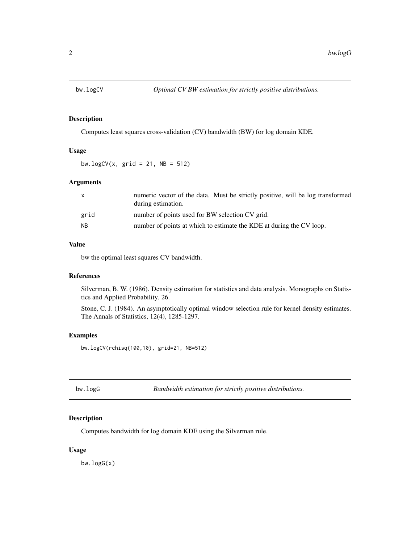<span id="page-1-1"></span><span id="page-1-0"></span>

#### Description

Computes least squares cross-validation (CV) bandwidth (BW) for log domain KDE.

#### Usage

bw.logCV $(x, \text{grid} = 21, \text{NB} = 512)$ 

#### Arguments

| X         | numeric vector of the data. Must be strictly positive, will be log transformed<br>during estimation. |
|-----------|------------------------------------------------------------------------------------------------------|
| grid      | number of points used for BW selection CV grid.                                                      |
| <b>NB</b> | number of points at which to estimate the KDE at during the CV loop.                                 |

#### Value

bw the optimal least squares CV bandwidth.

#### References

Silverman, B. W. (1986). Density estimation for statistics and data analysis. Monographs on Statistics and Applied Probability. 26.

Stone, C. J. (1984). An asymptotically optimal window selection rule for kernel density estimates. The Annals of Statistics, 12(4), 1285-1297.

#### Examples

bw.logCV(rchisq(100,10), grid=21, NB=512)

<span id="page-1-2"></span>bw.logG *Bandwidth estimation for strictly positive distributions.*

#### Description

Computes bandwidth for log domain KDE using the Silverman rule.

#### Usage

bw.logG(x)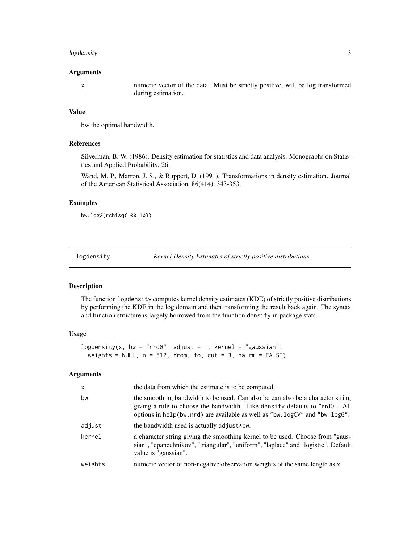#### <span id="page-2-0"></span>logdensity 3

#### Arguments

x numeric vector of the data. Must be strictly positive, will be log transformed during estimation.

#### Value

bw the optimal bandwidth.

#### References

Silverman, B. W. (1986). Density estimation for statistics and data analysis. Monographs on Statistics and Applied Probability. 26.

Wand, M. P., Marron, J. S., & Ruppert, D. (1991). Transformations in density estimation. Journal of the American Statistical Association, 86(414), 343-353.

#### Examples

bw.logG(rchisq(100,10))

<span id="page-2-1"></span>logdensity *Kernel Density Estimates of strictly positive distributions.*

#### **Description**

The function logdensity computes kernel density estimates (KDE) of strictly positive distributions by performing the KDE in the log domain and then transforming the result back again. The syntax and function structure is largely borrowed from the function density in package stats.

#### Usage

logdensity(x, bw = "nrd0", adjust = 1, kernel = "gaussian", weights = NULL,  $n = 512$ , from, to, cut = 3, na.rm = FALSE)

#### Arguments

| $\mathsf{x}$ | the data from which the estimate is to be computed.                                                                                                                                                                                         |
|--------------|---------------------------------------------------------------------------------------------------------------------------------------------------------------------------------------------------------------------------------------------|
| bw           | the smoothing bandwidth to be used. Can also be can also be a character string<br>giving a rule to choose the bandwidth. Like density defaults to "nrd0". All<br>options in help(bw.nrd) are available as well as "bw.logCV" and "bw.logG". |
| adjust       | the bandwidth used is actually adjust*bw.                                                                                                                                                                                                   |
| kernel       | a character string giving the smoothing kernel to be used. Choose from "gaus-<br>sian", "epanechnikov", "triangular", "uniform", "laplace" and "logistic". Default<br>value is "gaussian".                                                  |
| weights      | numeric vector of non-negative observation weights of the same length as x.                                                                                                                                                                 |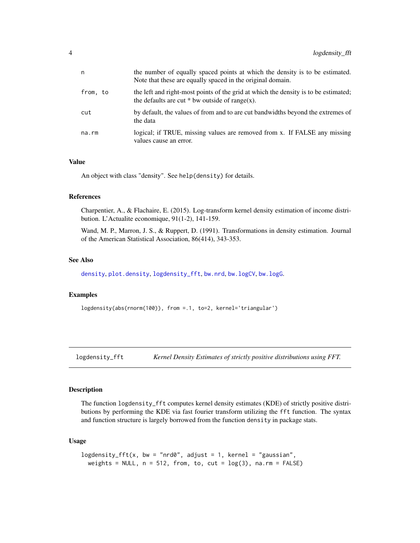<span id="page-3-0"></span>

| n        | the number of equally spaced points at which the density is to be estimated.<br>Note that these are equally spaced in the original domain. |
|----------|--------------------------------------------------------------------------------------------------------------------------------------------|
| from, to | the left and right-most points of the grid at which the density is to be estimated;<br>the defaults are cut $*$ bw outside of range(x).    |
| cut      | by default, the values of from and to are cut bandwidths beyond the extremes of<br>the data                                                |
| na.rm    | logical; if TRUE, missing values are removed from x. If FALSE any missing<br>values cause an error.                                        |

#### Value

An object with class "density". See help(density) for details.

#### References

Charpentier, A., & Flachaire, E. (2015). Log-transform kernel density estimation of income distribution. L'Actualite economique, 91(1-2), 141-159.

Wand, M. P., Marron, J. S., & Ruppert, D. (1991). Transformations in density estimation. Journal of the American Statistical Association, 86(414), 343-353.

#### See Also

[density](#page-0-0), [plot.density](#page-0-0), [logdensity\\_fft](#page-3-1), [bw.nrd](#page-0-0), [bw.logCV](#page-1-1), [bw.logG](#page-1-2).

#### Examples

logdensity(abs(rnorm(100)), from =.1, to=2, kernel='triangular')

<span id="page-3-1"></span>logdensity\_fft *Kernel Density Estimates of strictly positive distributions using FFT.*

#### Description

The function logdensity\_fft computes kernel density estimates (KDE) of strictly positive distributions by performing the KDE via fast fourier transform utilizing the fft function. The syntax and function structure is largely borrowed from the function density in package stats.

#### Usage

```
logdensity_fft(x, bw = "nrd0", adjust = 1, kernel = "gaussian",
weights = NULL, n = 512, from, to, cut = log(3), na.rm = FALSE)
```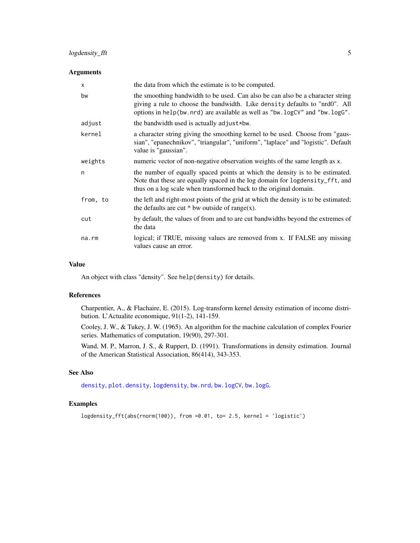#### <span id="page-4-0"></span>logdensity\_fft 5

#### Arguments

| X           | the data from which the estimate is to be computed.                                                                                                                                                                                         |
|-------------|---------------------------------------------------------------------------------------------------------------------------------------------------------------------------------------------------------------------------------------------|
| bw          | the smoothing bandwidth to be used. Can also be can also be a character string<br>giving a rule to choose the bandwidth. Like density defaults to "nrd0". All<br>options in help(bw.nrd) are available as well as "bw.logCV" and "bw.logG". |
| adjust      | the bandwidth used is actually adjust*bw.                                                                                                                                                                                                   |
| kernel      | a character string giving the smoothing kernel to be used. Choose from "gaus-<br>sian", "epanechnikov", "triangular", "uniform", "laplace" and "logistic". Default<br>value is "gaussian".                                                  |
| weights     | numeric vector of non-negative observation weights of the same length as x.                                                                                                                                                                 |
| n           | the number of equally spaced points at which the density is to be estimated.<br>Note that these are equally spaced in the log domain for logdensity_fft, and<br>thus on a log scale when transformed back to the original domain.           |
| from, to    | the left and right-most points of the grid at which the density is to be estimated;<br>the defaults are cut $*$ bw outside of range(x).                                                                                                     |
| cut         | by default, the values of from and to are cut bandwidths beyond the extremes of<br>the data                                                                                                                                                 |
| $na$ . $rm$ | logical; if TRUE, missing values are removed from x. If FALSE any missing<br>values cause an error.                                                                                                                                         |

#### Value

An object with class "density". See help(density) for details.

#### References

Charpentier, A., & Flachaire, E. (2015). Log-transform kernel density estimation of income distribution. L'Actualite economique, 91(1-2), 141-159.

Cooley, J. W., & Tukey, J. W. (1965). An algorithm for the machine calculation of complex Fourier series. Mathematics of computation, 19(90), 297-301.

Wand, M. P., Marron, J. S., & Ruppert, D. (1991). Transformations in density estimation. Journal of the American Statistical Association, 86(414), 343-353.

#### See Also

[density](#page-0-0), [plot.density](#page-0-0), [logdensity](#page-2-1), [bw.nrd](#page-0-0), [bw.logCV](#page-1-1), [bw.logG](#page-1-2).

#### Examples

```
logdensity_fft(abs(rnorm(100)), from =0.01, to= 2.5, kernel = 'logistic')
```